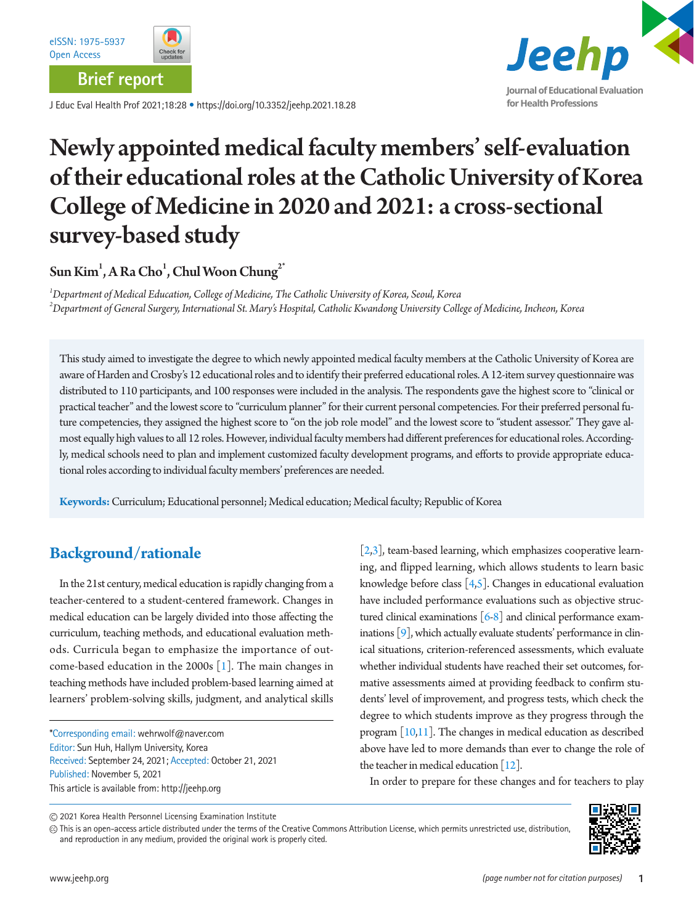

**Brief report**

J Educ Eval Health Prof 2021;18:28 • https://doi.org/10.3352/jeehp.2021.18.28



# Newly appointed medical faculty members' self-evaluation of their educational roles at the Catholic University of Korea College of Medicine in 2020 and 2021: a cross-sectional survey-based study

 $\operatorname{\mathsf{Sun}}\nolimits^1$ , A Ra Cho $^1$ , Chul Woon Chung $^{2^*}$ 

*1 Department of Medical Education, College of Medicine, The Catholic University of Korea, Seoul, Korea 2 Department of General Surgery, International St. Mary's Hospital, Catholic Kwandong University College of Medicine, Incheon, Korea*

This study aimed to investigate the degree to which newly appointed medical faculty members at the Catholic University of Korea are aware of Harden and Crosby's 12 educational roles and to identify their preferred educational roles. A 12-item survey questionnaire was distributed to 110 participants, and 100 responses were included in the analysis. The respondents gave the highest score to "clinical or practical teacher" and the lowest score to "curriculum planner" for their current personal competencies. For their preferred personal future competencies, they assigned the highest score to "on the job role model" and the lowest score to "student assessor." They gave almost equally high values to all 12 roles. However, individual faculty members had different preferences for educational roles. Accordingly, medical schools need to plan and implement customized faculty development programs, and efforts to provide appropriate educational roles according to individual faculty members' preferences are needed.

**Keywords:** Curriculum; Educational personnel; Medical education; Medical faculty; Republic of Korea

## **Background/rationale**

In the 21st century, medical education is rapidly changing from a teacher-centered to a student-centered framework. Changes in medical education can be largely divided into those affecting the curriculum, teaching methods, and educational evaluation methods. Curricula began to emphasize the importance of outcome-based education in the 2000s [[1\]](#page-3-0). The main changes in teaching methods have included problem-based learning aimed at learners' problem-solving skills, judgment, and analytical skills

\*Corresponding email: wehrwolf@naver.com Editor: Sun Huh, Hallym University, Korea Received: September 24, 2021; Accepted: October 21, 2021 Published: November 5, 2021 This article is available from: http://jeehp.org

 $[2,3]$  $[2,3]$  $[2,3]$ , team-based learning, which emphasizes cooperative learning, and flipped learning, which allows students to learn basic knowledge before class [\[4](#page-4-2)[,5](#page-4-3)]. Changes in educational evaluation have included performance evaluations such as objective structured clinical examinations  $[6-8]$  $[6-8]$  $[6-8]$  and clinical performance examinations  $[9]$ , which actually evaluate students' performance in clinical situations, criterion-referenced assessments, which evaluate whether individual students have reached their set outcomes, formative assessments aimed at providing feedback to confirm students' level of improvement, and progress tests, which check the degree to which students improve as they progress through the program [\[10](#page-4-7)[,11\]](#page-4-8). The changes in medical education as described above have led to more demands than ever to change the role of the teacher in medical education  $[12]$ .

In order to prepare for these changes and for teachers to play

This is an open-access article distributed under the terms of the Creative Commons Attribution License, which permits unrestricted use, distribution, and reproduction in any medium, provided the original work is properly cited.



<sup>2021</sup> Korea Health Personnel Licensing Examination Institute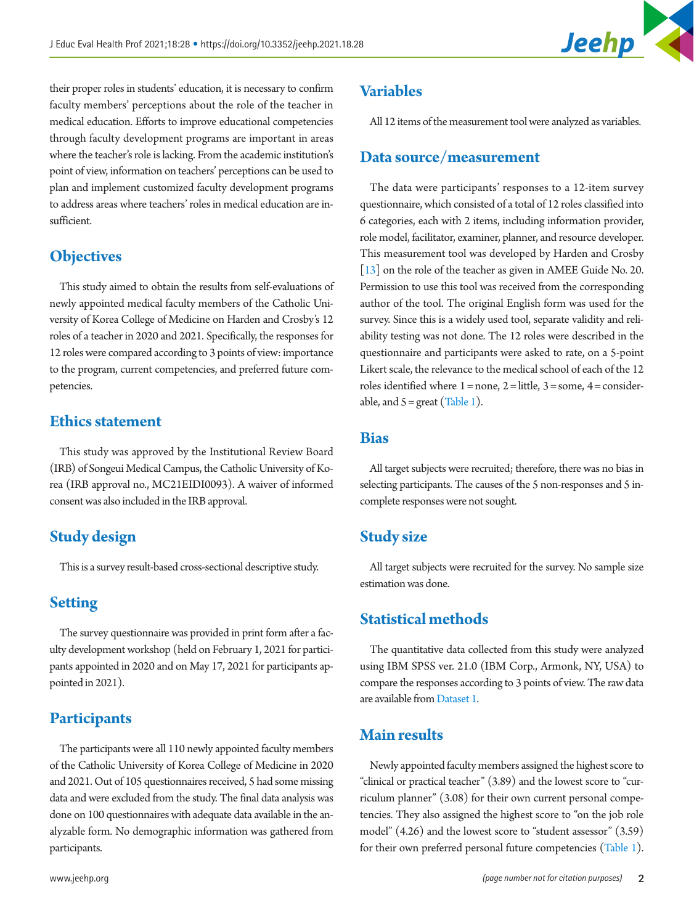

their proper roles in students' education, it is necessary to confirm faculty members' perceptions about the role of the teacher in medical education. Efforts to improve educational competencies through faculty development programs are important in areas where the teacher's role is lacking. From the academic institution's point of view, information on teachers' perceptions can be used to plan and implement customized faculty development programs to address areas where teachers' roles in medical education are insufficient.

### **Objectives**

This study aimed to obtain the results from self-evaluations of newly appointed medical faculty members of the Catholic University of Korea College of Medicine on Harden and Crosby's 12 roles of a teacher in 2020 and 2021. Specifically, the responses for 12 roles were compared according to 3 points of view: importance to the program, current competencies, and preferred future competencies.

#### **Ethics statement**

This study was approved by the Institutional Review Board (IRB) of Songeui Medical Campus, the Catholic University of Korea (IRB approval no., MC21EIDI0093). A waiver of informed consent was also included in the IRB approval.

## **Study design**

This is a survey result-based cross-sectional descriptive study.

#### **Setting**

The survey questionnaire was provided in print form after a faculty development workshop (held on February 1, 2021 for participants appointed in 2020 and on May 17, 2021 for participants appointed in 2021).

#### **Participants**

The participants were all 110 newly appointed faculty members of the Catholic University of Korea College of Medicine in 2020 and 2021. Out of 105 questionnaires received, 5 had some missing data and were excluded from the study. The final data analysis was done on 100 questionnaires with adequate data available in the analyzable form. No demographic information was gathered from participants.

All 12 items of the measurement tool were analyzed as variables.

#### **Data source/measurement**

The data were participants' responses to a 12-item survey questionnaire, which consisted of a total of 12 roles classified into 6 categories, each with 2 items, including information provider, role model, facilitator, examiner, planner, and resource developer. This measurement tool was developed by Harden and Crosby [\[13\]](#page-4-10) on the role of the teacher as given in AMEE Guide No. 20. Permission to use this tool was received from the corresponding author of the tool. The original English form was used for the survey. Since this is a widely used tool, separate validity and reliability testing was not done. The 12 roles were described in the questionnaire and participants were asked to rate, on a 5-point Likert scale, the relevance to the medical school of each of the 12 roles identified where  $1 = none$ ,  $2 =$  little,  $3 =$  some,  $4 =$  considerable, and  $5 = \text{great}$  ([Table 1\)](#page-2-0).

#### **Bias**

All target subjects were recruited; therefore, there was no bias in selecting participants. The causes of the 5 non-responses and 5 incomplete responses were not sought.

#### **Study size**

All target subjects were recruited for the survey. No sample size estimation was done.

#### **Statistical methods**

The quantitative data collected from this study were analyzed using IBM SPSS ver. 21.0 (IBM Corp., Armonk, NY, USA) to compare the responses according to 3 points of view. The raw data are available from Dataset 1.

#### **Main results**

Newly appointed faculty members assigned the highest score to "clinical or practical teacher" (3.89) and the lowest score to "curriculum planner" (3.08) for their own current personal competencies. They also assigned the highest score to "on the job role model" (4.26) and the lowest score to "student assessor" (3.59) for their own preferred personal future competencies ([Table 1\)](#page-2-0).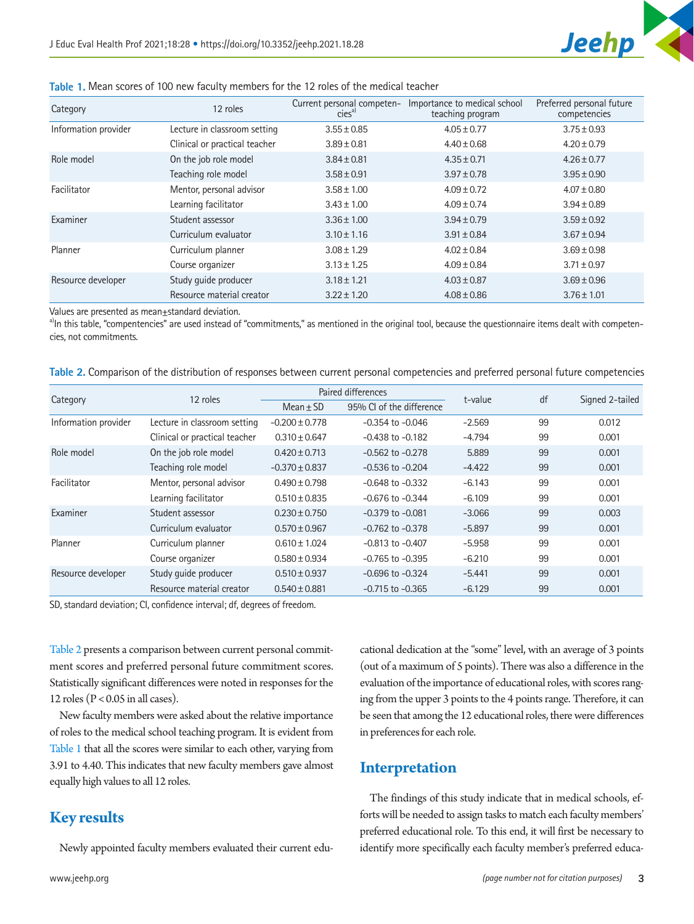

<span id="page-2-0"></span>

|  | Table 1. Mean scores of 100 new faculty members for the 12 roles of the medical teacher |  |  |  |  |  |
|--|-----------------------------------------------------------------------------------------|--|--|--|--|--|
|--|-----------------------------------------------------------------------------------------|--|--|--|--|--|

| Category             | 12 roles                      | Current personal competen-<br>cies <sup>a)</sup> | Importance to medical school<br>teaching program | Preferred personal future<br>competencies |  |
|----------------------|-------------------------------|--------------------------------------------------|--------------------------------------------------|-------------------------------------------|--|
| Information provider | Lecture in classroom setting  | $3.55 \pm 0.85$                                  | $4.05 \pm 0.77$                                  | $3.75 \pm 0.93$                           |  |
|                      | Clinical or practical teacher | $3.89 \pm 0.81$                                  | $4.40 \pm 0.68$                                  | $4.20 \pm 0.79$                           |  |
| Role model           | On the job role model         | $3.84 \pm 0.81$                                  | $4.35 \pm 0.71$                                  | $4.26 \pm 0.77$                           |  |
|                      | Teaching role model           | $3.58 \pm 0.91$                                  | $3.97 \pm 0.78$                                  | $3.95 \pm 0.90$                           |  |
| Facilitator          | Mentor, personal advisor      | $3.58 \pm 1.00$                                  | $4.09 \pm 0.72$                                  | $4.07 \pm 0.80$                           |  |
|                      | Learning facilitator          | $3.43 \pm 1.00$                                  | $4.09 \pm 0.74$                                  | $3.94 \pm 0.89$                           |  |
| Examiner             | Student assessor              | $3.36 \pm 1.00$                                  | $3.94 \pm 0.79$                                  | $3.59 \pm 0.92$                           |  |
|                      | Curriculum evaluator          | $3.10 \pm 1.16$                                  | $3.91 \pm 0.84$                                  | $3.67 \pm 0.94$                           |  |
| Planner              | Curriculum planner            | $3.08 \pm 1.29$                                  | $4.02 \pm 0.84$                                  | $3.69 \pm 0.98$                           |  |
|                      | Course organizer              | $3.13 \pm 1.25$                                  | $4.09 \pm 0.84$                                  | $3.71 \pm 0.97$                           |  |
| Resource developer   | Study quide producer          | $3.18 \pm 1.21$                                  | $4.03 \pm 0.87$                                  | $3.69 \pm 0.96$                           |  |
|                      | Resource material creator     | $3.22 \pm 1.20$                                  | $4.08 \pm 0.86$                                  | $3.76 \pm 1.01$                           |  |

Values are presented as mean±standard deviation.

a)In this table, "compentencies" are used instead of "commitments," as mentioned in the original tool, because the questionnaire items dealt with competencies, not commitments.

<span id="page-2-1"></span>

|  |  |  |  | Table 2. Comparison of the distribution of responses between current personal competencies and preferred personal future competencies |  |  |
|--|--|--|--|---------------------------------------------------------------------------------------------------------------------------------------|--|--|
|  |  |  |  |                                                                                                                                       |  |  |
|  |  |  |  |                                                                                                                                       |  |  |

|                      | 12 roles                      |                    | Paired differences       | t-value  | df | Signed 2-tailed |  |
|----------------------|-------------------------------|--------------------|--------------------------|----------|----|-----------------|--|
| Category             |                               | Mean $\pm$ SD      | 95% CL of the difference |          |    |                 |  |
| Information provider | Lecture in classroom setting  | $-0.200 \pm 0.778$ | $-0.354$ to $-0.046$     | $-2.569$ | 99 | 0.012           |  |
|                      | Clinical or practical teacher | $0.310 + 0.647$    | $-0.438$ to $-0.182$     | $-4.794$ | 99 | 0.001           |  |
| Role model           | On the job role model         | $0.420 \pm 0.713$  | $-0.562$ to $-0.278$     | 5.889    | 99 | 0.001           |  |
|                      | Teaching role model           | $-0.370 \pm 0.837$ | $-0.536$ to $-0.204$     | $-4.422$ | 99 | 0.001           |  |
| Facilitator          | Mentor, personal advisor      | $0.490 \pm 0.798$  | $-0.648$ to $-0.332$     | $-6.143$ | 99 | 0.001           |  |
|                      | Learning facilitator          | $0.510 \pm 0.835$  | $-0.676$ to $-0.344$     | $-6.109$ | 99 | 0.001           |  |
| Examiner             | Student assessor              | $0.230 + 0.750$    | $-0.379$ to $-0.081$     | $-3.066$ | 99 | 0.003           |  |
|                      | Curriculum evaluator          | $0.570 \pm 0.967$  | $-0.762$ to $-0.378$     | $-5.897$ | 99 | 0.001           |  |
| Planner              | Curriculum planner            | $0.610 \pm 1.024$  | $-0.813$ to $-0.407$     | $-5.958$ | 99 | 0.001           |  |
|                      | Course organizer              | $0.580 \pm 0.934$  | $-0.765$ to $-0.395$     | $-6.210$ | 99 | 0.001           |  |
| Resource developer   | Study quide producer          | $0.510 \pm 0.937$  | $-0.696$ to $-0.324$     | $-5.441$ | 99 | 0.001           |  |
|                      | Resource material creator     | $0.540 + 0.881$    | $-0.715$ to $-0.365$     | $-6.129$ | 99 | 0.001           |  |

SD, standard deviation; CI, confidence interval; df, degrees of freedom.

[Table 2](#page-2-1) presents a comparison between current personal commitment scores and preferred personal future commitment scores. Statistically significant differences were noted in responses for the 12 roles ( $P < 0.05$  in all cases).

New faculty members were asked about the relative importance of roles to the medical school teaching program. It is evident from [Table 1](#page-2-0) that all the scores were similar to each other, varying from 3.91 to 4.40. This indicates that new faculty members gave almost equally high values to all 12 roles.

## **Key results**

Newly appointed faculty members evaluated their current edu-

cational dedication at the "some" level, with an average of 3 points (out of a maximum of 5 points). There was also a difference in the evaluation of the importance of educational roles, with scores ranging from the upper 3 points to the 4 points range. Therefore, it can be seen that among the 12 educational roles, there were differences in preferences for each role.

#### **Interpretation**

The findings of this study indicate that in medical schools, efforts will be needed to assign tasks to match each faculty members' preferred educational role. To this end, it will first be necessary to identify more specifically each faculty member's preferred educa-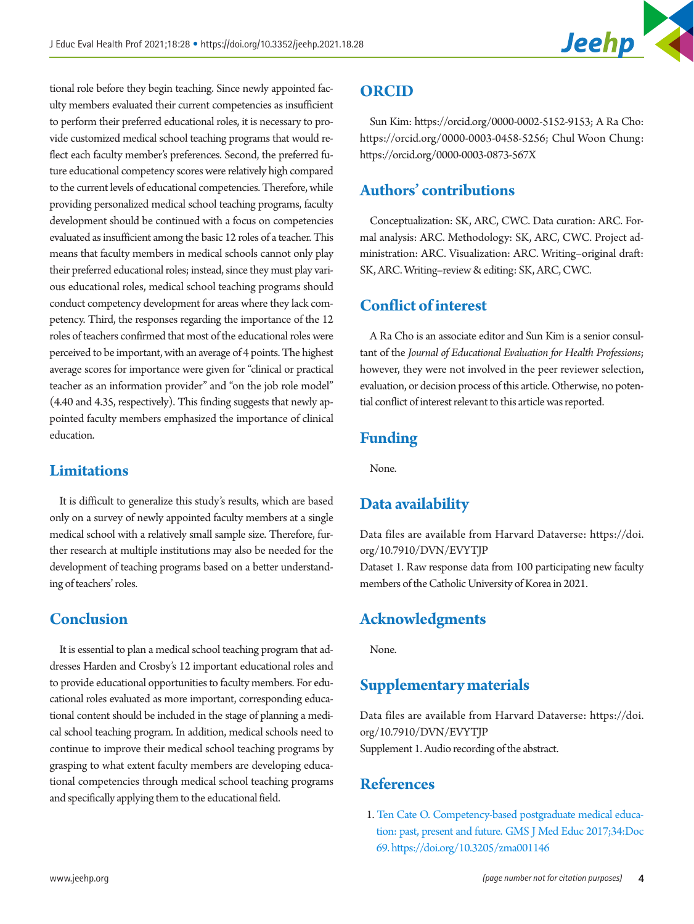

tional role before they begin teaching. Since newly appointed faculty members evaluated their current competencies as insufficient to perform their preferred educational roles, it is necessary to provide customized medical school teaching programs that would reflect each faculty member's preferences. Second, the preferred future educational competency scores were relatively high compared to the current levels of educational competencies. Therefore, while providing personalized medical school teaching programs, faculty development should be continued with a focus on competencies evaluated as insufficient among the basic 12 roles of a teacher. This means that faculty members in medical schools cannot only play their preferred educational roles; instead, since they must play various educational roles, medical school teaching programs should conduct competency development for areas where they lack competency. Third, the responses regarding the importance of the 12 roles of teachers confirmed that most of the educational roles were perceived to be important, with an average of 4 points. The highest average scores for importance were given for "clinical or practical teacher as an information provider" and "on the job role model" (4.40 and 4.35, respectively). This finding suggests that newly appointed faculty members emphasized the importance of clinical education.

#### **Limitations**

It is difficult to generalize this study's results, which are based only on a survey of newly appointed faculty members at a single medical school with a relatively small sample size. Therefore, further research at multiple institutions may also be needed for the development of teaching programs based on a better understanding of teachers' roles.

### **Conclusion**

It is essential to plan a medical school teaching program that addresses Harden and Crosby's 12 important educational roles and to provide educational opportunities to faculty members. For educational roles evaluated as more important, corresponding educational content should be included in the stage of planning a medical school teaching program. In addition, medical schools need to continue to improve their medical school teaching programs by grasping to what extent faculty members are developing educational competencies through medical school teaching programs and specifically applying them to the educational field.

### **ORCID**

Sun Kim: https://orcid.org/0000-0002-5152-9153; A Ra Cho: https://orcid.org/0000-0003-0458-5256; Chul Woon Chung: https://orcid.org/0000-0003-0873-567X

## **Authors' contributions**

Conceptualization: SK, ARC, CWC. Data curation: ARC. Formal analysis: ARC. Methodology: SK, ARC, CWC. Project administration: ARC. Visualization: ARC. Writing–original draft: SK, ARC. Writing–review & editing: SK, ARC, CWC.

## **Conflict of interest**

A Ra Cho is an associate editor and Sun Kim is a senior consultant of the *Journal of Educational Evaluation for Health Professions*; however, they were not involved in the peer reviewer selection, evaluation, or decision process of this article. Otherwise, no potential conflict of interest relevant to this article was reported.

## **Funding**

None.

## <span id="page-3-1"></span>**Data availability**

Data files are available from Harvard Dataverse: [https://doi.](https://doi.org/10.7910/DVN/EVYTJP) [org/10.7910/DVN/EVYTJP](https://doi.org/10.7910/DVN/EVYTJP) Dataset 1. Raw response data from 100 participating new faculty members of the Catholic University of Korea in 2021.

## **Acknowledgments**

None.

#### **Supplementary materials**

Data files are available from Harvard Dataverse: [https://doi.](https://doi.org/10.7910/DVN/EVYTJP) [org/10.7910/DVN/EVYTJP](https://doi.org/10.7910/DVN/EVYTJP) Supplement 1. Audio recording of the abstract.

## **References**

<span id="page-3-0"></span>1. [Ten Cate O. Competency-based postgraduate medical educa](https://doi.org/10.3205/zma001146)[tion: past, present and future. GMS J Med Educ 2017;34:Doc](https://doi.org/10.3205/zma001146) [69. https://doi.org/10.3205/zma001146](https://doi.org/10.3205/zma001146)